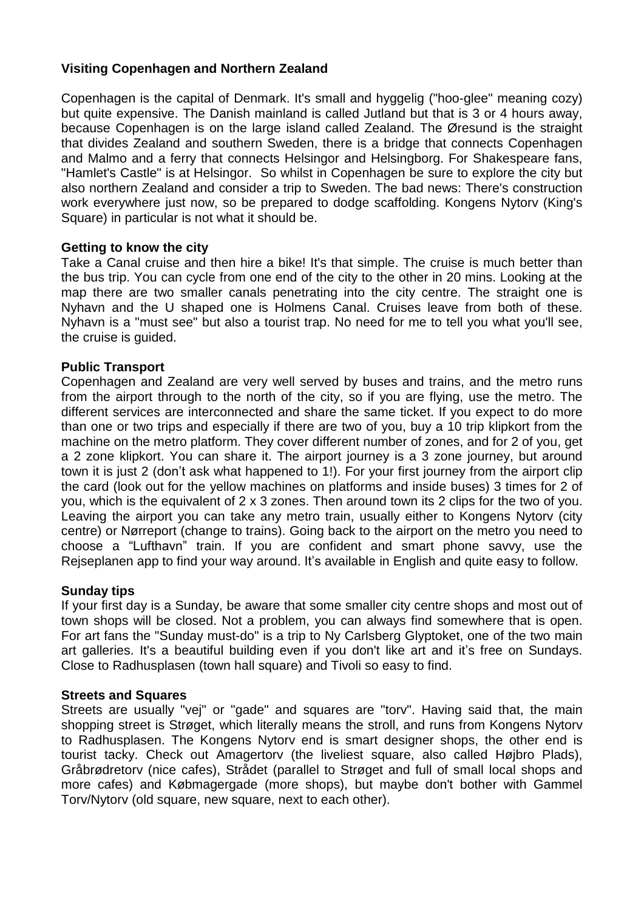# **Visiting Copenhagen and Northern Zealand**

Copenhagen is the capital of Denmark. It's small and hyggelig ("hoo-glee" meaning cozy) but quite expensive. The Danish mainland is called Jutland but that is 3 or 4 hours away, because Copenhagen is on the large island called Zealand. The Øresund is the straight that divides Zealand and southern Sweden, there is a bridge that connects Copenhagen and Malmo and a ferry that connects Helsingor and Helsingborg. For Shakespeare fans, "Hamlet's Castle" is at Helsingor. So whilst in Copenhagen be sure to explore the city but also northern Zealand and consider a trip to Sweden. The bad news: There's construction work everywhere just now, so be prepared to dodge scaffolding. Kongens Nytorv (King's Square) in particular is not what it should be.

### **Getting to know the city**

Take a Canal cruise and then hire a bike! It's that simple. The cruise is much better than the bus trip. You can cycle from one end of the city to the other in 20 mins. Looking at the map there are two smaller canals penetrating into the city centre. The straight one is Nyhavn and the U shaped one is Holmens Canal. Cruises leave from both of these. Nyhavn is a "must see" but also a tourist trap. No need for me to tell you what you'll see, the cruise is guided.

### **Public Transport**

Copenhagen and Zealand are very well served by buses and trains, and the metro runs from the airport through to the north of the city, so if you are flying, use the metro. The different services are interconnected and share the same ticket. If you expect to do more than one or two trips and especially if there are two of you, buy a 10 trip klipkort from the machine on the metro platform. They cover different number of zones, and for 2 of you, get a 2 zone klipkort. You can share it. The airport journey is a 3 zone journey, but around town it is just 2 (don't ask what happened to 1!). For your first journey from the airport clip the card (look out for the yellow machines on platforms and inside buses) 3 times for 2 of you, which is the equivalent of 2 x 3 zones. Then around town its 2 clips for the two of you. Leaving the airport you can take any metro train, usually either to Kongens Nytorv (city centre) or Nørreport (change to trains). Going back to the airport on the metro you need to choose a "Lufthavn" train. If you are confident and smart phone savvy, use the Rejseplanen app to find your way around. It's available in English and quite easy to follow.

#### **Sunday tips**

If your first day is a Sunday, be aware that some smaller city centre shops and most out of town shops will be closed. Not a problem, you can always find somewhere that is open. For art fans the "Sunday must-do" is a trip to Ny Carlsberg Glyptoket, one of the two main art galleries. It's a beautiful building even if you don't like art and it's free on Sundays. Close to Radhusplasen (town hall square) and Tivoli so easy to find.

#### **Streets and Squares**

Streets are usually "vej" or "gade" and squares are "torv". Having said that, the main shopping street is Strøget, which literally means the stroll, and runs from Kongens Nytorv to Radhusplasen. The Kongens Nytorv end is smart designer shops, the other end is tourist tacky. Check out Amagertorv (the liveliest square, also called Højbro Plads), Gråbrødretorv (nice cafes), Strådet (parallel to Strøget and full of small local shops and more cafes) and Købmagergade (more shops), but maybe don't bother with Gammel Torv/Nytorv (old square, new square, next to each other).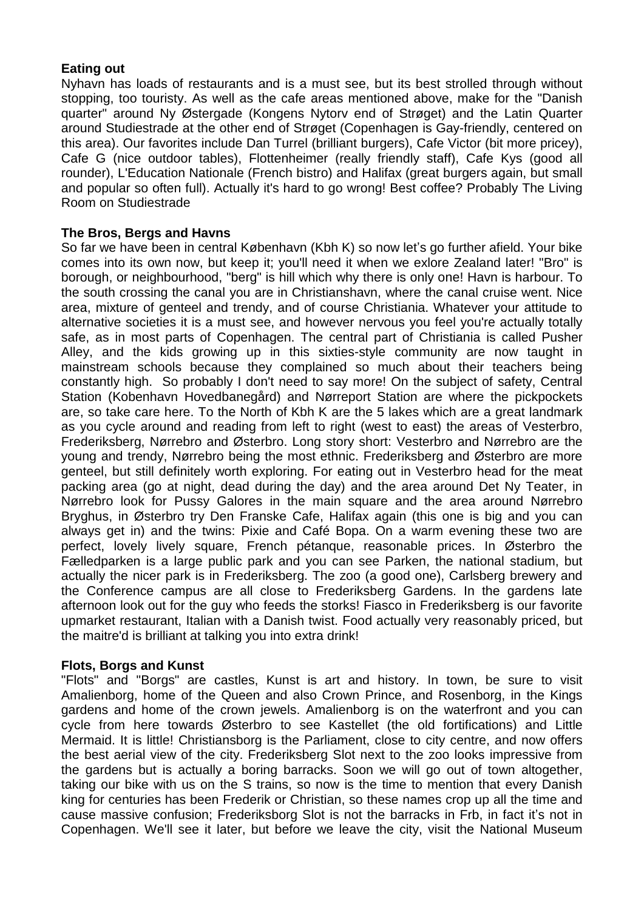# **Eating out**

Nyhavn has loads of restaurants and is a must see, but its best strolled through without stopping, too touristy. As well as the cafe areas mentioned above, make for the "Danish quarter" around Ny Østergade (Kongens Nytorv end of Strøget) and the Latin Quarter around Studiestrade at the other end of Strøget (Copenhagen is Gay-friendly, centered on this area). Our favorites include Dan Turrel (brilliant burgers), Cafe Victor (bit more pricey), Cafe G (nice outdoor tables), Flottenheimer (really friendly staff), Cafe Kys (good all rounder), L'Education Nationale (French bistro) and Halifax (great burgers again, but small and popular so often full). Actually it's hard to go wrong! Best coffee? Probably The Living Room on Studiestrade

# **The Bros, Bergs and Havns**

So far we have been in central København (Kbh K) so now let's go further afield. Your bike comes into its own now, but keep it; you'll need it when we exlore Zealand later! "Bro" is borough, or neighbourhood, "berg" is hill which why there is only one! Havn is harbour. To the south crossing the canal you are in Christianshavn, where the canal cruise went. Nice area, mixture of genteel and trendy, and of course Christiania. Whatever your attitude to alternative societies it is a must see, and however nervous you feel you're actually totally safe, as in most parts of Copenhagen. The central part of Christiania is called Pusher Alley, and the kids growing up in this sixties-style community are now taught in mainstream schools because they complained so much about their teachers being constantly high. So probably I don't need to say more! On the subject of safety, Central Station (Kobenhavn Hovedbanegård) and Nørreport Station are where the pickpockets are, so take care here. To the North of Kbh K are the 5 lakes which are a great landmark as you cycle around and reading from left to right (west to east) the areas of Vesterbro, Frederiksberg, Nørrebro and Østerbro. Long story short: Vesterbro and Nørrebro are the young and trendy, Nørrebro being the most ethnic. Frederiksberg and Østerbro are more genteel, but still definitely worth exploring. For eating out in Vesterbro head for the meat packing area (go at night, dead during the day) and the area around Det Ny Teater, in Nørrebro look for Pussy Galores in the main square and the area around Nørrebro Bryghus, in Østerbro try Den Franske Cafe, Halifax again (this one is big and you can always get in) and the twins: Pixie and Café Bopa. On a warm evening these two are perfect, lovely lively square, French pétanque, reasonable prices. In Østerbro the Fælledparken is a large public park and you can see Parken, the national stadium, but actually the nicer park is in Frederiksberg. The zoo (a good one), Carlsberg brewery and the Conference campus are all close to Frederiksberg Gardens. In the gardens late afternoon look out for the guy who feeds the storks! Fiasco in Frederiksberg is our favorite upmarket restaurant, Italian with a Danish twist. Food actually very reasonably priced, but the maitre'd is brilliant at talking you into extra drink!

### **Flots, Borgs and Kunst**

"Flots" and "Borgs" are castles, Kunst is art and history. In town, be sure to visit Amalienborg, home of the Queen and also Crown Prince, and Rosenborg, in the Kings gardens and home of the crown jewels. Amalienborg is on the waterfront and you can cycle from here towards Østerbro to see Kastellet (the old fortifications) and Little Mermaid. It is little! Christiansborg is the Parliament, close to city centre, and now offers the best aerial view of the city. Frederiksberg Slot next to the zoo looks impressive from the gardens but is actually a boring barracks. Soon we will go out of town altogether, taking our bike with us on the S trains, so now is the time to mention that every Danish king for centuries has been Frederik or Christian, so these names crop up all the time and cause massive confusion; Frederiksborg Slot is not the barracks in Frb, in fact it's not in Copenhagen. We'll see it later, but before we leave the city, visit the National Museum